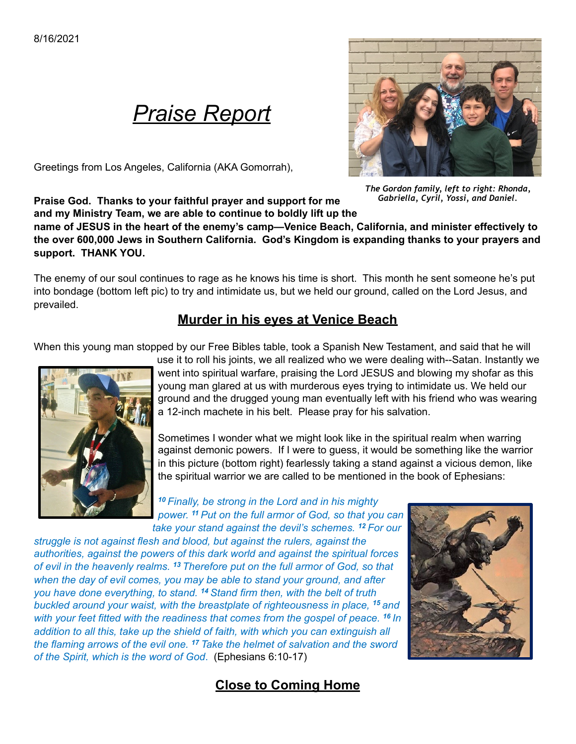*Praise Report*

Greetings from Los Angeles, California (AKA Gomorrah),



*The Gordon family, left to right: Rhonda, Gabriella, Cyril, Yossi, and Daniel.*

**Praise God. Thanks to your faithful prayer and support for me and my Ministry Team, we are able to continue to boldly lift up the** 

**name of JESUS in the heart of the enemy's camp—Venice Beach, California, and minister effectively to the over 600,000 Jews in Southern California. God's Kingdom is expanding thanks to your prayers and support. THANK YOU.**

The enemy of our soul continues to rage as he knows his time is short. This month he sent someone he's put into bondage (bottom left pic) to try and intimidate us, but we held our ground, called on the Lord Jesus, and prevailed.

## **Murder in his eyes at Venice Beach**

When this young man stopped by our Free Bibles table, took a Spanish New Testament, and said that he will



use it to roll his joints, we all realized who we were dealing with--Satan. Instantly we went into spiritual warfare, praising the Lord JESUS and blowing my shofar as this young man glared at us with murderous eyes trying to intimidate us. We held our ground and the drugged young man eventually left with his friend who was wearing a 12-inch machete in his belt. Please pray for his salvation.

Sometimes I wonder what we might look like in the spiritual realm when warring against demonic powers. If I were to guess, it would be something like the warrior in this picture (bottom right) fearlessly taking a stand against a vicious demon, like the spiritual warrior we are called to be mentioned in the book of Ephesians:

*<sup>10</sup>Finally, be strong in the Lord and in his mighty power. <sup>11</sup>Put on the full armor of God, so that you can take your stand against the devil's schemes. <sup>12</sup>For our* 

*struggle is not against flesh and blood, but against the rulers, against the authorities, against the powers of this dark world and against the spiritual forces of evil in the heavenly realms. <sup>13</sup>Therefore put on the full armor of God, so that when the day of evil comes, you may be able to stand your ground, and after you have done everything, to stand. <sup>14</sup>Stand firm then, with the belt of truth buckled around your waist, with the breastplate of righteousness in place, <sup>15</sup>and with your feet fitted with the readiness that comes from the gospel of peace. <sup>16</sup>In addition to all this, take up the shield of faith, with which you can extinguish all the flaming arrows of the evil one. <sup>17</sup>Take the helmet of salvation and the sword of the Spirit, which is the word of God*. (Ephesians 6:10-17)



## **Close to Coming Home**